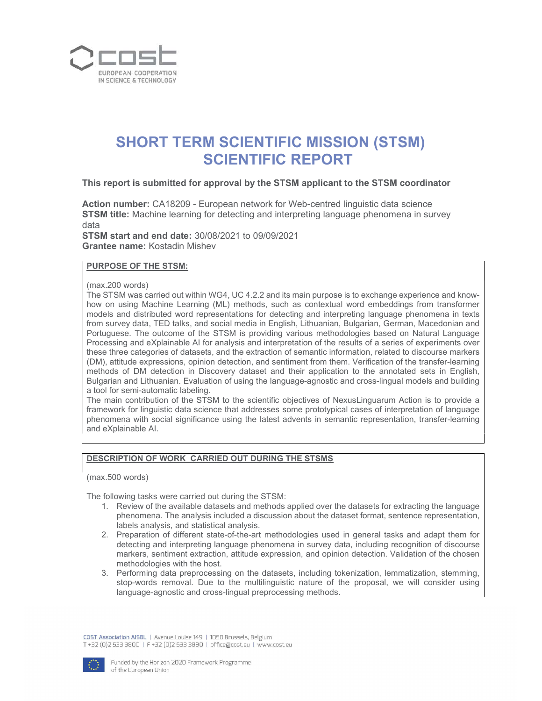

# SHORT TERM SCIENTIFIC MISSION (STSM) SCIENTIFIC REPORT

## This report is submitted for approval by the STSM applicant to the STSM coordinator

Action number: CA18209 - European network for Web-centred linguistic data science STSM title: Machine learning for detecting and interpreting language phenomena in survey data

STSM start and end date: 30/08/2021 to 09/09/2021 Grantee name: Kostadin Mishev

## PURPOSE OF THE STSM:

(max.200 words)

The STSM was carried out within WG4, UC 4.2.2 and its main purpose is to exchange experience and knowhow on using Machine Learning (ML) methods, such as contextual word embeddings from transformer models and distributed word representations for detecting and interpreting language phenomena in texts from survey data, TED talks, and social media in English, Lithuanian, Bulgarian, German, Macedonian and Portuguese. The outcome of the STSM is providing various methodologies based on Natural Language Processing and eXplainable AI for analysis and interpretation of the results of a series of experiments over these three categories of datasets, and the extraction of semantic information, related to discourse markers (DM), attitude expressions, opinion detection, and sentiment from them. Verification of the transfer-learning methods of DM detection in Discovery dataset and their application to the annotated sets in English, Bulgarian and Lithuanian. Evaluation of using the language-agnostic and cross-lingual models and building a tool for semi-automatic labeling.

The main contribution of the STSM to the scientific objectives of NexusLinguarum Action is to provide a framework for linguistic data science that addresses some prototypical cases of interpretation of language phenomena with social significance using the latest advents in semantic representation, transfer-learning and eXplainable AI.

#### DESCRIPTION OF WORK CARRIED OUT DURING THE STSMS

(max.500 words)

The following tasks were carried out during the STSM:

- 1. Review of the available datasets and methods applied over the datasets for extracting the language phenomena. The analysis included a discussion about the dataset format, sentence representation, labels analysis, and statistical analysis.
- 2. Preparation of different state-of-the-art methodologies used in general tasks and adapt them for detecting and interpreting language phenomena in survey data, including recognition of discourse markers, sentiment extraction, attitude expression, and opinion detection. Validation of the chosen methodologies with the host.
- 3. Performing data preprocessing on the datasets, including tokenization, lemmatization, stemming, stop-words removal. Due to the multilinguistic nature of the proposal, we will consider using language-agnostic and cross-lingual preprocessing methods.

COST Association AISBL | Avenue Louise 149 | 1050 Brussels, Belgium T +32 (0)2 533 3800 | F +32 (0)2 533 3890 | office@cost.eu | www.cost.eu

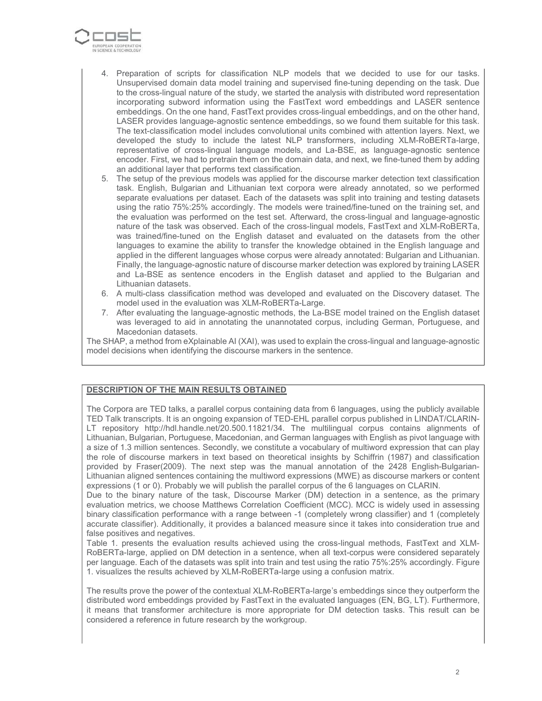

- 4. Preparation of scripts for classification NLP models that we decided to use for our tasks. Unsupervised domain data model training and supervised fine-tuning depending on the task. Due to the cross-lingual nature of the study, we started the analysis with distributed word representation incorporating subword information using the FastText word embeddings and LASER sentence embeddings. On the one hand, FastText provides cross-lingual embeddings, and on the other hand, LASER provides language-agnostic sentence embeddings, so we found them suitable for this task. The text-classification model includes convolutional units combined with attention layers. Next, we developed the study to include the latest NLP transformers, including XLM-RoBERTa-large, representative of cross-lingual language models, and La-BSE, as language-agnostic sentence encoder. First, we had to pretrain them on the domain data, and next, we fine-tuned them by adding an additional layer that performs text classification.
- 5. The setup of the previous models was applied for the discourse marker detection text classification task. English, Bulgarian and Lithuanian text corpora were already annotated, so we performed separate evaluations per dataset. Each of the datasets was split into training and testing datasets using the ratio 75%:25% accordingly. The models were trained/fine-tuned on the training set, and the evaluation was performed on the test set. Afterward, the cross-lingual and language-agnostic nature of the task was observed. Each of the cross-lingual models, FastText and XLM-RoBERTa, was trained/fine-tuned on the English dataset and evaluated on the datasets from the other languages to examine the ability to transfer the knowledge obtained in the English language and applied in the different languages whose corpus were already annotated: Bulgarian and Lithuanian. Finally, the language-agnostic nature of discourse marker detection was explored by training LASER and La-BSE as sentence encoders in the English dataset and applied to the Bulgarian and Lithuanian datasets.
- 6. A multi-class classification method was developed and evaluated on the Discovery dataset. The model used in the evaluation was XLM-RoBERTa-Large.
- 7. After evaluating the language-agnostic methods, the La-BSE model trained on the English dataset was leveraged to aid in annotating the unannotated corpus, including German, Portuguese, and Macedonian datasets.

The SHAP, a method from eXplainable AI (XAI), was used to explain the cross-lingual and language-agnostic model decisions when identifying the discourse markers in the sentence.

#### DESCRIPTION OF THE MAIN RESULTS OBTAINED

The Corpora are TED talks, a parallel corpus containing data from 6 languages, using the publicly available TED Talk transcripts. It is an ongoing expansion of TED-EHL parallel corpus published in LINDAT/CLARIN-LT repository http://hdl.handle.net/20.500.11821/34. The multilingual corpus contains alignments of Lithuanian, Bulgarian, Portuguese, Macedonian, and German languages with English as pivot language with a size of 1.3 million sentences. Secondly, we constitute a vocabulary of multiword expression that can play the role of discourse markers in text based on theoretical insights by Schiffrin (1987) and classification provided by Fraser(2009). The next step was the manual annotation of the 2428 English-Bulgarian-Lithuanian aligned sentences containing the multiword expressions (MWE) as discourse markers or content expressions (1 or 0). Probably we will publish the parallel corpus of the 6 languages on CLARIN.

Due to the binary nature of the task, Discourse Marker (DM) detection in a sentence, as the primary evaluation metrics, we choose Matthews Correlation Coefficient (MCC). MCC is widely used in assessing binary classification performance with a range between -1 (completely wrong classifier) and 1 (completely accurate classifier). Additionally, it provides a balanced measure since it takes into consideration true and false positives and negatives.

Table 1. presents the evaluation results achieved using the cross-lingual methods, FastText and XLM-RoBERTa-large, applied on DM detection in a sentence, when all text-corpus were considered separately per language. Each of the datasets was split into train and test using the ratio 75%:25% accordingly. Figure 1. visualizes the results achieved by XLM-RoBERTa-large using a confusion matrix.

The results prove the power of the contextual XLM-RoBERTa-large's embeddings since they outperform the distributed word embeddings provided by FastText in the evaluated languages (EN, BG, LT). Furthermore, it means that transformer architecture is more appropriate for DM detection tasks. This result can be considered a reference in future research by the workgroup.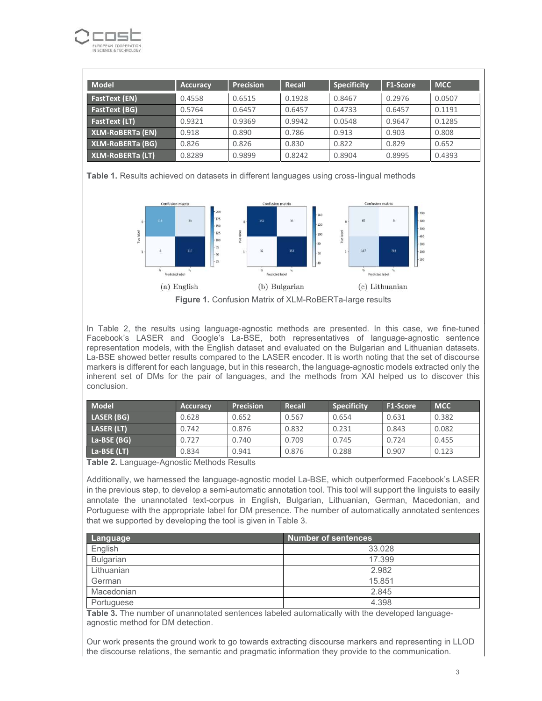

| <b>Model</b>            | <b>Accuracy</b> | <b>Precision</b> | Recall | <b>Specificity</b> | F1-Score | <b>MCC</b> |
|-------------------------|-----------------|------------------|--------|--------------------|----------|------------|
| <b>FastText (EN)</b>    | 0.4558          | 0.6515           | 0.1928 | 0.8467             | 0.2976   | 0.0507     |
| FastText (BG)           | 0.5764          | 0.6457           | 0.6457 | 0.4733             | 0.6457   | 0.1191     |
| <b>FastText (LT)</b>    | 0.9321          | 0.9369           | 0.9942 | 0.0548             | 0.9647   | 0.1285     |
| <b>XLM-ROBERTa (EN)</b> | 0.918           | 0.890            | 0.786  | 0.913              | 0.903    | 0.808      |
| <b>XLM-ROBERTa (BG)</b> | 0.826           | 0.826            | 0.830  | 0.822              | 0.829    | 0.652      |
| XLM-RoBERTa (LT)        | 0.8289          | 0.9899           | 0.8242 | 0.8904             | 0.8995   | 0.4393     |

Table 1. Results achieved on datasets in different languages using cross-lingual methods



Figure 1. Confusion Matrix of XLM-RoBERTa-large results

In Table 2, the results using language-agnostic methods are presented. In this case, we fine-tuned Facebook's LASER and Google's La-BSE, both representatives of language-agnostic sentence representation models, with the English dataset and evaluated on the Bulgarian and Lithuanian datasets. La-BSE showed better results compared to the LASER encoder. It is worth noting that the set of discourse markers is different for each language, but in this research, the language-agnostic models extracted only the inherent set of DMs for the pair of languages, and the methods from XAI helped us to discover this conclusion.

| Model       | <b>Accuracy</b> | <b>Precision</b> | Recall | <b>Specificity</b> | <b>F1-Score</b> | <b>MCC</b> |
|-------------|-----------------|------------------|--------|--------------------|-----------------|------------|
| LASER (BG)  | 0.628           | 0.652            | 0.567  | 0.654              | 0.631           | 0.382      |
| LASER (LT)  | 0.742           | 0.876            | 0.832  | 0.231              | 0.843           | 0.082      |
| La-BSE (BG) | 0.727           | 0.740            | 0.709  | 0.745              | 0.724           | 0.455      |
| La-BSE (LT) | 0.834           | 0.941            | 0.876  | 0.288              | 0.907           | 0.123      |

Table 2. Language-Agnostic Methods Results

Additionally, we harnessed the language-agnostic model La-BSE, which outperformed Facebook's LASER in the previous step, to develop a semi-automatic annotation tool. This tool will support the linguists to easily annotate the unannotated text-corpus in English, Bulgarian, Lithuanian, German, Macedonian, and Portuguese with the appropriate label for DM presence. The number of automatically annotated sentences that we supported by developing the tool is given in Table 3.

| Language         | <b>Number of sentences</b> |
|------------------|----------------------------|
| English          | 33.028                     |
| <b>Bulgarian</b> | 17.399                     |
| Lithuanian       | 2.982                      |
| German           | 15.851                     |
| Macedonian       | 2.845                      |
| Portuguese       | 4.398                      |

Table 3. The number of unannotated sentences labeled automatically with the developed languageagnostic method for DM detection.

Our work presents the ground work to go towards extracting discourse markers and representing in LLOD the discourse relations, the semantic and pragmatic information they provide to the communication.